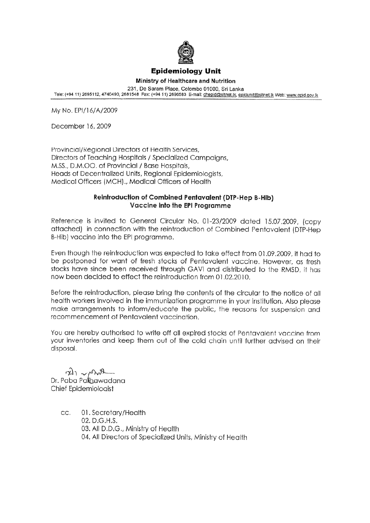

## **Epidemiology Unit**

Ministry of Healthcare and Nutrition 231, De Saram Place, Colombo 01000, Sri Lanka Tele: (+94 11) 2695112, 4740490, 2681548 Fax: (+94 11) 2696583 E-mail: chepid@sltnet.lk, epidunit@sltnet.lk Web: www.epid.gov.lk

My No. EPI/16/A/2009

December 16, 2009

Provincial/Regional Directors of Health Services, Directors of Teaching Hospitals / Specialized Campaigns, M.SS., D.M.OO. of Provincial / Base Hospitals, Heads of Decentralized Units, Regional Epidemiologists, Medical Officers (MCH)., Medical Officers of Health

## Reintroduction of Combined Pentavalent (DTP-Hep B-Hib) Vaccine into the EPI Programme

Reference is invited to General Circular No. 01-23/2009 dated 15.07.2009, (copy attached) in connection with the reintroduction of Combined Pentavalent (DTP-Hep B-Hib) vaccine into the EPI programme.

Even though the reintroduction was expected to take effect from 01.09.2009, it had to be postponed for want of fresh stocks of Pentavalent vaccine. However, as fresh stocks have since been received through GAVI and distributed to the RMSD, it has now been decided to effect the reintroduction from 01.02.2010.

Before the reintroduction, please bring the contents of the circular to the notice of all health workers involved in the immunization programme in your institution. Also please make arrangements to inform/educate the public, the reasons for suspension and recommencement of Pentavalent vaccination.

You are hereby authorised to write off all expired stocks of Pentavalent vaccine from your inventories and keep them out of the cold chain until further advised on their disposal.

 $\frac{1}{2}$   $\sqrt{2}$ <br>Dr. Paba Palibawadana Chief Epidemiologist

> 01. Secretary/Health CC. 02. D.G.H.S. 03. All D.D.G., Ministry of Health 04. All Directors of Specialized Units, Ministry of Health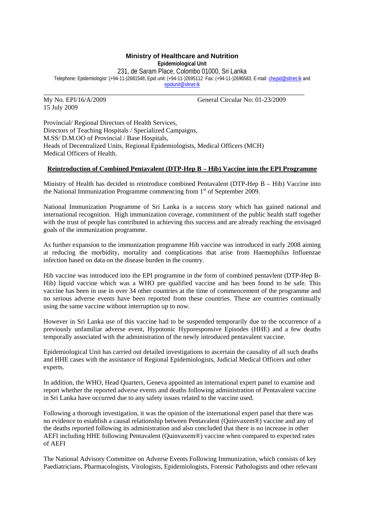## **Ministry of Healthcare and Nutrition**

**Epidemiological Unit**

231, de Saram Place, Colombo 01000, Sri Lanka

\_\_\_\_\_\_\_\_\_\_\_\_\_\_\_\_\_\_\_\_\_\_\_\_\_\_\_\_\_\_\_\_\_\_\_\_\_\_\_\_\_\_\_\_\_\_\_\_\_\_\_\_\_\_\_\_\_\_\_\_\_\_\_\_\_\_\_\_\_\_\_\_

Telephone: Epidemiologist :(+94-11-)2681548, Epid unit: (+94-11-)2695112 Fax: (+94-11-)2696583, E-mail: chepid@sltnet.lk and epidunit@sltnet.lk

15 July 2009

My No. EPI/16/A/2009 General Circular No: 01-23/2009

Provincial/ Regional Directors of Health Services, Directors of Teaching Hospitals / Specialized Campaigns, M.SS/ D.M.OO of Provincial / Base Hospitals, Heads of Decentralized Units, Regional Epidemiologists, Medical Officers (MCH) Medical Officers of Health.

## **Reintroduction of Combined Pentavalent (DTP-Hep B – Hib) Vaccine into the EPI Programme**

Ministry of Health has decided to reintroduce combined Pentavalent (DTP-Hep B – Hib) Vaccine into the National Immunization Programme commencing from  $1<sup>st</sup>$  of September 2009.

National Immunization Programme of Sri Lanka is a success story which has gained national and international recognition. High immunization coverage, commitment of the public health staff together with the trust of people has contributed in achieving this success and are already reaching the envisaged goals of the immunization programme.

As further expansion to the immunization programme Hib vaccine was introduced in early 2008 aiming at reducing the morbidity, mortality and complications that arise from Haemophilus Influenzae infection based on data on the disease burden in the country.

Hib vaccine was introduced into the EPI programme in the form of combined pentavlent (DTP-Hep B-Hib) liquid vaccine which was a WHO pre qualified vaccine and has been found to be safe. This vaccine has been in use in over 34 other countries at the time of commencement of the programme and no serious adverse events have been reported from these countries. These are countries continually using the same vaccine without interruption up to now.

However in Sri Lanka use of this vaccine had to be suspended temporarily due to the occurrence of a previously unfamiliar adverse event, Hypotonic Hyporesponsive Episodes (HHE) and a few deaths temporally associated with the administration of the newly introduced pentavalent vaccine.

Epidemiological Unit has carried out detailed investigations to ascertain the causality of all such deaths and HHE cases with the assistance of Regional Epidemiologists, Judicial Medical Officers and other experts.

In addition, the WHO, Head Quarters, Geneva appointed an international expert panel to examine and report whether the reported adverse events and deaths following administration of Pentavalent vaccine in Sri Lanka have occurred due to any safety issues related to the vaccine used.

Following a thorough investigation, it was the opinion of the international expert panel that there was no evidence to establish a causal relationship between Pentavalent (Quinvaxem®) vaccine and any of the deaths reported following its administration and also concluded that there is no increase in other AEFI including HHE following Pentavalent (Quinvaxem®) vaccine when compared to expected rates of AEFI

The National Advisory Committee on Adverse Events Following Immunization, which consists of key Paediatricians, Pharmacologists, Virologists, Epidemiologists, Forensic Pathologists and other relevant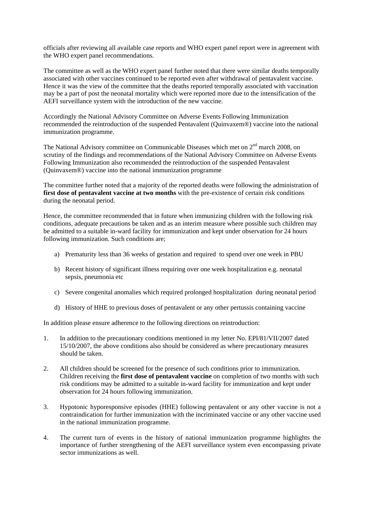officials after reviewing all available case reports and WHO expert panel report were in agreement with the WHO expert panel recommendations.

The committee as well as the WHO expert panel further noted that there were similar deaths temporally associated with other vaccines continued to be reported even after withdrawal of pentavalent vaccine. Hence it was the view of the committee that the deaths reported temporally associated with vaccination may be a part of post the neonatal mortality which were reported more due to the intensification of the AEFI surveillance system with the introduction of the new vaccine.

Accordingly the National Advisory Committee on Adverse Events Following Immunization recommended the reintroduction of the suspended Pentavalent (Quinvaxem®) vaccine into the national immunization programme.

The National Advisory committee on Communicable Diseases which met on 2nd march 2008, on scrutiny of the findings and recommendations of the National Advisory Committee on Adverse Events Following Immunization also recommended the reintroduction of the suspended Pentavalent (Quinvaxem®) vaccine into the national immunization programme

The committee further noted that a majority of the reported deaths were following the administration of first dose of pentavalent vaccine at two months with the pre-existence of certain risk conditions during the neonatal period.

Hence, the committee recommended that in future when immunizing children with the following risk conditions, adequate precautions be taken and as an interim measure where possible such children may be admitted to a suitable in-ward facility for immunization and kept under observation for 24 hours following immunization. Such conditions are;

- a) Prematurity less than 36 weeks of gestation and required to spend over one week in PBU
- b) Recent history of significant illness requiring over one week hospitalization e.g. neonatal sepsis, pneumonia etc
- c) Severe congenital anomalies which required prolonged hospitalization during neonatal period
- d) History of HHE to previous doses of pentavalent or any other pertussis containing vaccine

In addition please ensure adherence to the following directions on reintroduction:

- 1. In addition to the precautionary conditions mentioned in my letter No. EPI/81/VII/2007 dated 15/10/2007, the above conditions also should be considered as where precautionary measures should be taken.
- 2. All children should be screened for the presence of such conditions prior to immunization. Children receiving the **first dose of pentavalent vaccine** on completion of two months with such risk conditions may be admitted to a suitable in-ward facility for immunization and kept under observation for 24 hours following immunization.
- 3. Hypotonic hyporesponsive episodes (HHE) following pentavalent or any other vaccine is not a contraindication for further immunization with the incriminated vaccine or any other vaccine used in the national immunization programme.
- 4. The current turn of events in the history of national immunization programme highlights the importance of further strengthening of the AEFI surveillance system even encompassing private sector immunizations as well.